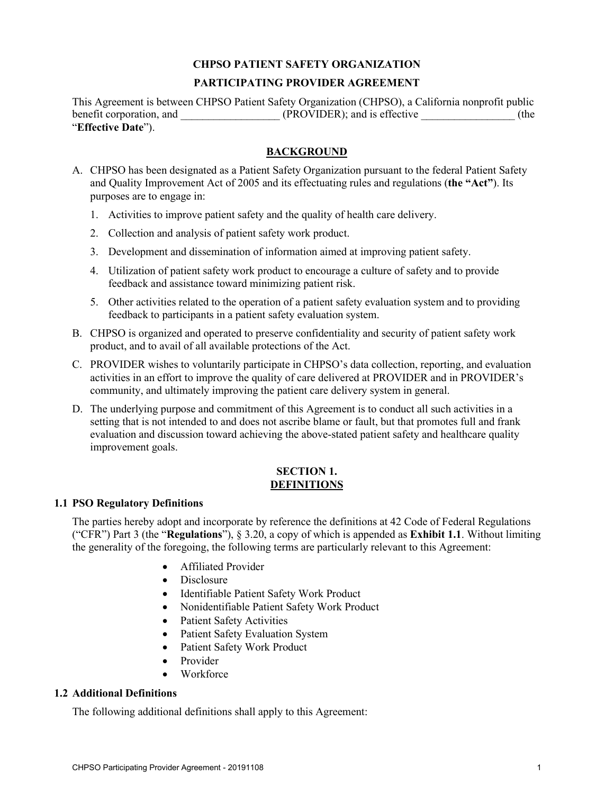# **CHPSO PATIENT SAFETY ORGANIZATION**

# **PARTICIPATING PROVIDER AGREEMENT**

This Agreement is between CHPSO Patient Safety Organization (CHPSO), a California nonprofit public benefit corporation, and  $(PROVIDER)$ ; and is effective  $(the$ "**Effective Date**").

# **BACKGROUND**

- A. CHPSO has been designated as a Patient Safety Organization pursuant to the federal Patient Safety and Quality Improvement Act of 2005 and its effectuating rules and regulations (**the "Act"**). Its purposes are to engage in:
	- 1. Activities to improve patient safety and the quality of health care delivery.
	- 2. Collection and analysis of patient safety work product.
	- 3. Development and dissemination of information aimed at improving patient safety.
	- 4. Utilization of patient safety work product to encourage a culture of safety and to provide feedback and assistance toward minimizing patient risk.
	- 5. Other activities related to the operation of a patient safety evaluation system and to providing feedback to participants in a patient safety evaluation system.
- B. CHPSO is organized and operated to preserve confidentiality and security of patient safety work product, and to avail of all available protections of the Act.
- C. PROVIDER wishes to voluntarily participate in CHPSO's data collection, reporting, and evaluation activities in an effort to improve the quality of care delivered at PROVIDER and in PROVIDER's community, and ultimately improving the patient care delivery system in general.
- D. The underlying purpose and commitment of this Agreement is to conduct all such activities in a setting that is not intended to and does not ascribe blame or fault, but that promotes full and frank evaluation and discussion toward achieving the above-stated patient safety and healthcare quality improvement goals.

# **SECTION 1. DEFINITIONS**

# **1.1 PSO Regulatory Definitions**

The parties hereby adopt and incorporate by reference the definitions at 42 Code of Federal Regulations ("CFR") Part 3 (the "**Regulations**"), § 3.20, a copy of which is appended as **Exhibit 1.1**. Without limiting the generality of the foregoing, the following terms are particularly relevant to this Agreement:

- Affiliated Provider
- Disclosure
- Identifiable Patient Safety Work Product
- Nonidentifiable Patient Safety Work Product
- Patient Safety Activities
- Patient Safety Evaluation System
- Patient Safety Work Product
- Provider
- Workforce

# **1.2 Additional Definitions**

The following additional definitions shall apply to this Agreement: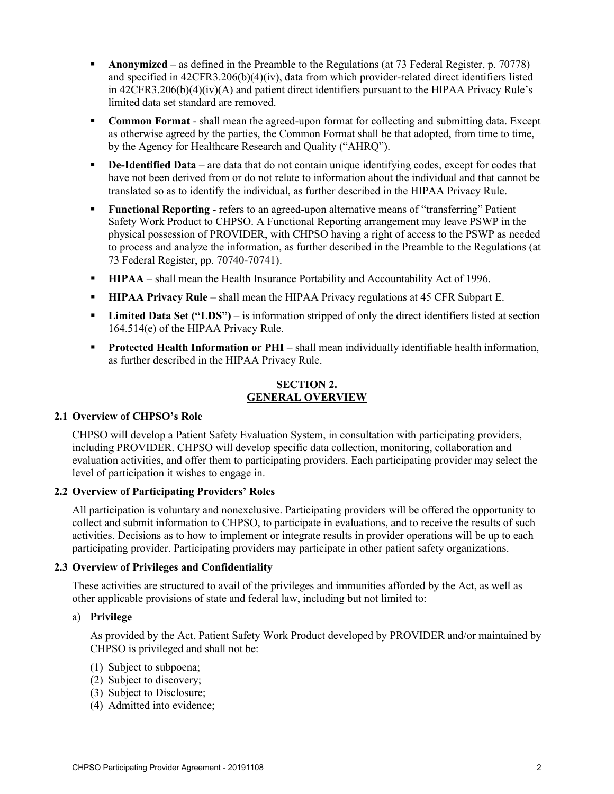- **Anonymized** as defined in the Preamble to the Regulations (at 73 Federal Register, p. 70778) and specified in 42CFR3.206(b)(4)(iv), data from which provider-related direct identifiers listed in 42CFR3.206(b)(4)(iv)(A) and patient direct identifiers pursuant to the HIPAA Privacy Rule's limited data set standard are removed.
- **Common Format** shall mean the agreed-upon format for collecting and submitting data. Except as otherwise agreed by the parties, the Common Format shall be that adopted, from time to time, by the Agency for Healthcare Research and Quality ("AHRQ").
- **De-Identified Data** are data that do not contain unique identifying codes, except for codes that have not been derived from or do not relate to information about the individual and that cannot be translated so as to identify the individual, as further described in the HIPAA Privacy Rule.
- **Functional Reporting** refers to an agreed-upon alternative means of "transferring" Patient Safety Work Product to CHPSO. A Functional Reporting arrangement may leave PSWP in the physical possession of PROVIDER, with CHPSO having a right of access to the PSWP as needed to process and analyze the information, as further described in the Preamble to the Regulations (at 73 Federal Register, pp. 70740-70741).
- **HIPAA** shall mean the Health Insurance Portability and Accountability Act of 1996.
- **HIPAA Privacy Rule** shall mean the HIPAA Privacy regulations at 45 CFR Subpart E.
- **Limited Data Set ("LDS")** is information stripped of only the direct identifiers listed at section 164.514(e) of the HIPAA Privacy Rule.
- **Protected Health Information or PHI** shall mean individually identifiable health information, as further described in the HIPAA Privacy Rule.

#### **SECTION 2. GENERAL OVERVIEW**

#### **2.1 Overview of CHPSO's Role**

CHPSO will develop a Patient Safety Evaluation System, in consultation with participating providers, including PROVIDER. CHPSO will develop specific data collection, monitoring, collaboration and evaluation activities, and offer them to participating providers. Each participating provider may select the level of participation it wishes to engage in.

#### **2.2 Overview of Participating Providers' Roles**

All participation is voluntary and nonexclusive. Participating providers will be offered the opportunity to collect and submit information to CHPSO, to participate in evaluations, and to receive the results of such activities. Decisions as to how to implement or integrate results in provider operations will be up to each participating provider. Participating providers may participate in other patient safety organizations.

#### **2.3 Overview of Privileges and Confidentiality**

These activities are structured to avail of the privileges and immunities afforded by the Act, as well as other applicable provisions of state and federal law, including but not limited to:

## a) **Privilege**

As provided by the Act, Patient Safety Work Product developed by PROVIDER and/or maintained by CHPSO is privileged and shall not be:

- (1) Subject to subpoena;
- (2) Subject to discovery;
- (3) Subject to Disclosure;
- (4) Admitted into evidence;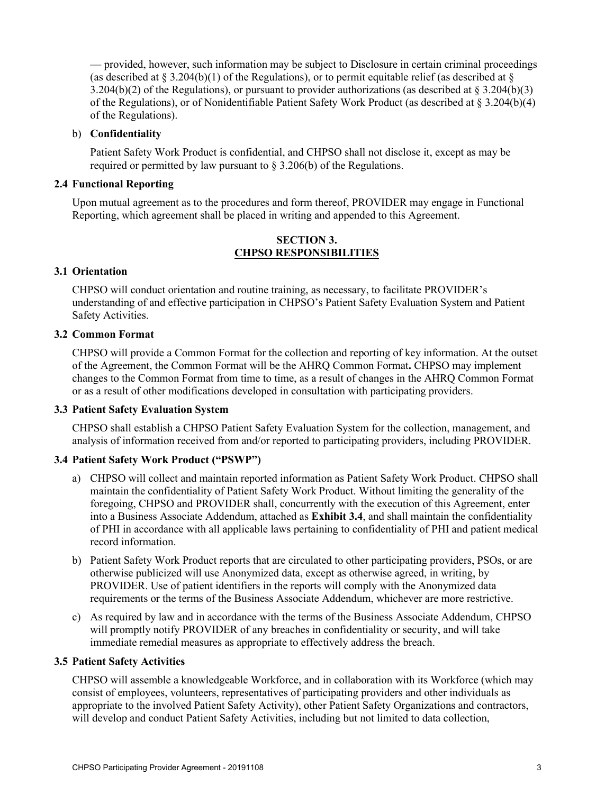— provided, however, such information may be subject to Disclosure in certain criminal proceedings (as described at  $\S 3.204(b)(1)$  of the Regulations), or to permit equitable relief (as described at  $\S$ 3.204(b)(2) of the Regulations), or pursuant to provider authorizations (as described at § 3.204(b)(3) of the Regulations), or of Nonidentifiable Patient Safety Work Product (as described at § 3.204(b)(4) of the Regulations).

#### b) **Confidentiality**

Patient Safety Work Product is confidential, and CHPSO shall not disclose it, except as may be required or permitted by law pursuant to  $\S 3.206(b)$  of the Regulations.

# **2.4 Functional Reporting**

Upon mutual agreement as to the procedures and form thereof, PROVIDER may engage in Functional Reporting, which agreement shall be placed in writing and appended to this Agreement.

## **SECTION 3. CHPSO RESPONSIBILITIES**

## **3.1 Orientation**

CHPSO will conduct orientation and routine training, as necessary, to facilitate PROVIDER's understanding of and effective participation in CHPSO's Patient Safety Evaluation System and Patient Safety Activities.

#### **3.2 Common Format**

CHPSO will provide a Common Format for the collection and reporting of key information. At the outset of the Agreement, the Common Format will be the AHRQ Common Format**.** CHPSO may implement changes to the Common Format from time to time, as a result of changes in the AHRQ Common Format or as a result of other modifications developed in consultation with participating providers.

#### **3.3 Patient Safety Evaluation System**

CHPSO shall establish a CHPSO Patient Safety Evaluation System for the collection, management, and analysis of information received from and/or reported to participating providers, including PROVIDER.

#### **3.4 Patient Safety Work Product ("PSWP")**

- a) CHPSO will collect and maintain reported information as Patient Safety Work Product. CHPSO shall maintain the confidentiality of Patient Safety Work Product. Without limiting the generality of the foregoing, CHPSO and PROVIDER shall, concurrently with the execution of this Agreement, enter into a Business Associate Addendum, attached as **Exhibit 3.4**, and shall maintain the confidentiality of PHI in accordance with all applicable laws pertaining to confidentiality of PHI and patient medical record information.
- b) Patient Safety Work Product reports that are circulated to other participating providers, PSOs, or are otherwise publicized will use Anonymized data, except as otherwise agreed, in writing, by PROVIDER. Use of patient identifiers in the reports will comply with the Anonymized data requirements or the terms of the Business Associate Addendum, whichever are more restrictive.
- c) As required by law and in accordance with the terms of the Business Associate Addendum, CHPSO will promptly notify PROVIDER of any breaches in confidentiality or security, and will take immediate remedial measures as appropriate to effectively address the breach.

#### **3.5 Patient Safety Activities**

CHPSO will assemble a knowledgeable Workforce, and in collaboration with its Workforce (which may consist of employees, volunteers, representatives of participating providers and other individuals as appropriate to the involved Patient Safety Activity), other Patient Safety Organizations and contractors, will develop and conduct Patient Safety Activities, including but not limited to data collection,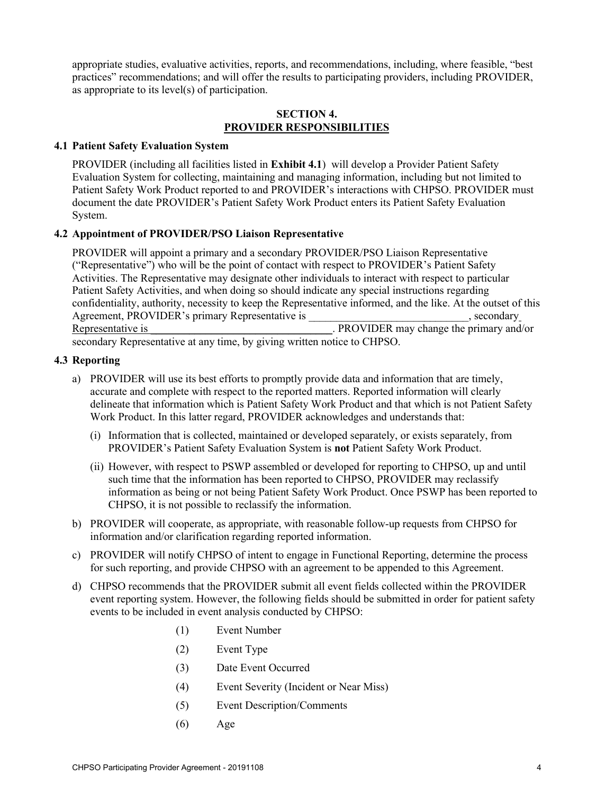appropriate studies, evaluative activities, reports, and recommendations, including, where feasible, "best practices" recommendations; and will offer the results to participating providers, including PROVIDER, as appropriate to its level(s) of participation.

#### **SECTION 4. PROVIDER RESPONSIBILITIES**

#### **4.1 Patient Safety Evaluation System**

PROVIDER (including all facilities listed in **Exhibit 4.1**) will develop a Provider Patient Safety Evaluation System for collecting, maintaining and managing information, including but not limited to Patient Safety Work Product reported to and PROVIDER's interactions with CHPSO. PROVIDER must document the date PROVIDER's Patient Safety Work Product enters its Patient Safety Evaluation System.

## **4.2 Appointment of PROVIDER/PSO Liaison Representative**

PROVIDER will appoint a primary and a secondary PROVIDER/PSO Liaison Representative ("Representative") who will be the point of contact with respect to PROVIDER's Patient Safety Activities. The Representative may designate other individuals to interact with respect to particular Patient Safety Activities, and when doing so should indicate any special instructions regarding confidentiality, authority, necessity to keep the Representative informed, and the like. At the outset of this Agreement, PROVIDER's primary Representative is example to the secondary secondary Representative is PROVIDER may change the primary and/or secondary Representative at any time, by giving written notice to CHPSO.

#### **4.3 Reporting**

- a) PROVIDER will use its best efforts to promptly provide data and information that are timely, accurate and complete with respect to the reported matters. Reported information will clearly delineate that information which is Patient Safety Work Product and that which is not Patient Safety Work Product. In this latter regard, PROVIDER acknowledges and understands that:
	- (i) Information that is collected, maintained or developed separately, or exists separately, from PROVIDER's Patient Safety Evaluation System is **not** Patient Safety Work Product.
	- (ii) However, with respect to PSWP assembled or developed for reporting to CHPSO, up and until such time that the information has been reported to CHPSO, PROVIDER may reclassify information as being or not being Patient Safety Work Product. Once PSWP has been reported to CHPSO, it is not possible to reclassify the information.
- b) PROVIDER will cooperate, as appropriate, with reasonable follow-up requests from CHPSO for information and/or clarification regarding reported information.
- c) PROVIDER will notify CHPSO of intent to engage in Functional Reporting, determine the process for such reporting, and provide CHPSO with an agreement to be appended to this Agreement.
- d) CHPSO recommends that the PROVIDER submit all event fields collected within the PROVIDER event reporting system. However, the following fields should be submitted in order for patient safety events to be included in event analysis conducted by CHPSO:
	- (1) Event Number
	- (2) Event Type
	- (3) Date Event Occurred
	- (4) Event Severity (Incident or Near Miss)
	- (5) Event Description/Comments
	- (6) Age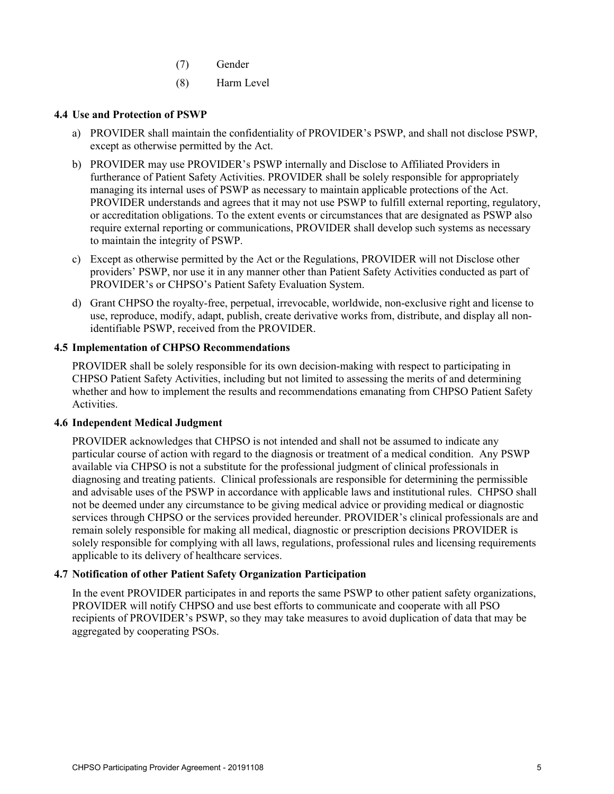- (7) Gender
- (8) Harm Level

## **4.4 Use and Protection of PSWP**

- a) PROVIDER shall maintain the confidentiality of PROVIDER's PSWP, and shall not disclose PSWP, except as otherwise permitted by the Act.
- b) PROVIDER may use PROVIDER's PSWP internally and Disclose to Affiliated Providers in furtherance of Patient Safety Activities. PROVIDER shall be solely responsible for appropriately managing its internal uses of PSWP as necessary to maintain applicable protections of the Act. PROVIDER understands and agrees that it may not use PSWP to fulfill external reporting, regulatory, or accreditation obligations. To the extent events or circumstances that are designated as PSWP also require external reporting or communications, PROVIDER shall develop such systems as necessary to maintain the integrity of PSWP.
- c) Except as otherwise permitted by the Act or the Regulations, PROVIDER will not Disclose other providers' PSWP, nor use it in any manner other than Patient Safety Activities conducted as part of PROVIDER's or CHPSO's Patient Safety Evaluation System.
- d) Grant CHPSO the royalty-free, perpetual, irrevocable, worldwide, non-exclusive right and license to use, reproduce, modify, adapt, publish, create derivative works from, distribute, and display all nonidentifiable PSWP, received from the PROVIDER.

#### **4.5 Implementation of CHPSO Recommendations**

PROVIDER shall be solely responsible for its own decision-making with respect to participating in CHPSO Patient Safety Activities, including but not limited to assessing the merits of and determining whether and how to implement the results and recommendations emanating from CHPSO Patient Safety Activities.

#### **4.6 Independent Medical Judgment**

PROVIDER acknowledges that CHPSO is not intended and shall not be assumed to indicate any particular course of action with regard to the diagnosis or treatment of a medical condition. Any PSWP available via CHPSO is not a substitute for the professional judgment of clinical professionals in diagnosing and treating patients. Clinical professionals are responsible for determining the permissible and advisable uses of the PSWP in accordance with applicable laws and institutional rules. CHPSO shall not be deemed under any circumstance to be giving medical advice or providing medical or diagnostic services through CHPSO or the services provided hereunder. PROVIDER's clinical professionals are and remain solely responsible for making all medical, diagnostic or prescription decisions PROVIDER is solely responsible for complying with all laws, regulations, professional rules and licensing requirements applicable to its delivery of healthcare services.

#### **4.7 Notification of other Patient Safety Organization Participation**

In the event PROVIDER participates in and reports the same PSWP to other patient safety organizations, PROVIDER will notify CHPSO and use best efforts to communicate and cooperate with all PSO recipients of PROVIDER's PSWP, so they may take measures to avoid duplication of data that may be aggregated by cooperating PSOs.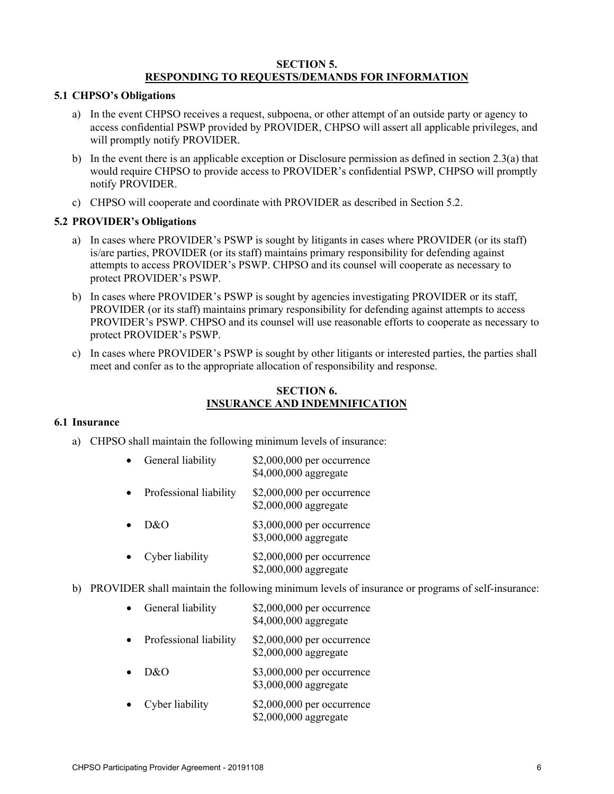# **SECTION 5. RESPONDING TO REQUESTS/DEMANDS FOR INFORMATION**

#### **5.1 CHPSO's Obligations**

- a) In the event CHPSO receives a request, subpoena, or other attempt of an outside party or agency to access confidential PSWP provided by PROVIDER, CHPSO will assert all applicable privileges, and will promptly notify PROVIDER.
- b) In the event there is an applicable exception or Disclosure permission as defined in section 2.3(a) that would require CHPSO to provide access to PROVIDER's confidential PSWP, CHPSO will promptly notify PROVIDER.
- c) CHPSO will cooperate and coordinate with PROVIDER as described in Section 5.2.

# **5.2 PROVIDER's Obligations**

- a) In cases where PROVIDER's PSWP is sought by litigants in cases where PROVIDER (or its staff) is/are parties, PROVIDER (or its staff) maintains primary responsibility for defending against attempts to access PROVIDER's PSWP. CHPSO and its counsel will cooperate as necessary to protect PROVIDER's PSWP.
- b) In cases where PROVIDER's PSWP is sought by agencies investigating PROVIDER or its staff, PROVIDER (or its staff) maintains primary responsibility for defending against attempts to access PROVIDER's PSWP. CHPSO and its counsel will use reasonable efforts to cooperate as necessary to protect PROVIDER's PSWP.
- c) In cases where PROVIDER's PSWP is sought by other litigants or interested parties, the parties shall meet and confer as to the appropriate allocation of responsibility and response.

## **SECTION 6. INSURANCE AND INDEMNIFICATION**

#### **6.1 Insurance**

- a) CHPSO shall maintain the following minimum levels of insurance:
	- General liability \$2,000,000 per occurrence \$4,000,000 aggregate
	- Professional liability \$2,000,000 per occurrence \$2,000,000 aggregate
	- D&O \$3,000,000 per occurrence \$3,000,000 aggregate
	- Cyber liability \$2,000,000 per occurrence \$2,000,000 aggregate
- b) PROVIDER shall maintain the following minimum levels of insurance or programs of self-insurance:
	- General liability \$2,000,000 per occurrence \$4,000,000 aggregate
	- Professional liability \$2,000,000 per occurrence \$2,000,000 aggregate
	- D&O \$3,000,000 per occurrence \$3,000,000 aggregate
	- Cyber liability \$2,000,000 per occurrence \$2,000,000 aggregate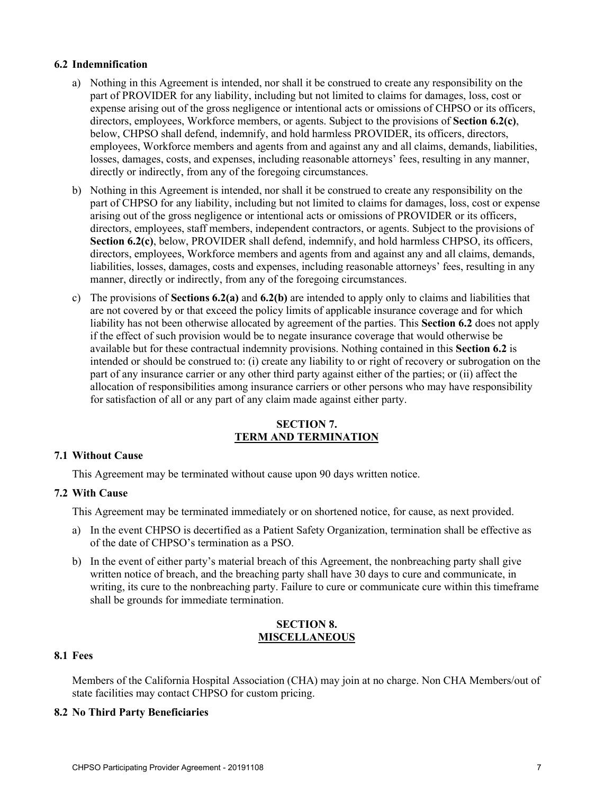#### **6.2 Indemnification**

- a) Nothing in this Agreement is intended, nor shall it be construed to create any responsibility on the part of PROVIDER for any liability, including but not limited to claims for damages, loss, cost or expense arising out of the gross negligence or intentional acts or omissions of CHPSO or its officers, directors, employees, Workforce members, or agents. Subject to the provisions of **Section 6.2(c)**, below, CHPSO shall defend, indemnify, and hold harmless PROVIDER, its officers, directors, employees, Workforce members and agents from and against any and all claims, demands, liabilities, losses, damages, costs, and expenses, including reasonable attorneys' fees, resulting in any manner, directly or indirectly, from any of the foregoing circumstances.
- b) Nothing in this Agreement is intended, nor shall it be construed to create any responsibility on the part of CHPSO for any liability, including but not limited to claims for damages, loss, cost or expense arising out of the gross negligence or intentional acts or omissions of PROVIDER or its officers, directors, employees, staff members, independent contractors, or agents. Subject to the provisions of **Section 6.2(c)**, below, PROVIDER shall defend, indemnify, and hold harmless CHPSO, its officers, directors, employees, Workforce members and agents from and against any and all claims, demands, liabilities, losses, damages, costs and expenses, including reasonable attorneys' fees, resulting in any manner, directly or indirectly, from any of the foregoing circumstances.
- c) The provisions of **Sections 6.2(a)** and **6.2(b)** are intended to apply only to claims and liabilities that are not covered by or that exceed the policy limits of applicable insurance coverage and for which liability has not been otherwise allocated by agreement of the parties. This **Section 6.2** does not apply if the effect of such provision would be to negate insurance coverage that would otherwise be available but for these contractual indemnity provisions. Nothing contained in this **Section 6.2** is intended or should be construed to: (i) create any liability to or right of recovery or subrogation on the part of any insurance carrier or any other third party against either of the parties; or (ii) affect the allocation of responsibilities among insurance carriers or other persons who may have responsibility for satisfaction of all or any part of any claim made against either party.

# **SECTION 7. TERM AND TERMINATION**

#### **7.1 Without Cause**

This Agreement may be terminated without cause upon 90 days written notice.

#### **7.2 With Cause**

This Agreement may be terminated immediately or on shortened notice, for cause, as next provided.

- a) In the event CHPSO is decertified as a Patient Safety Organization, termination shall be effective as of the date of CHPSO's termination as a PSO.
- b) In the event of either party's material breach of this Agreement, the nonbreaching party shall give written notice of breach, and the breaching party shall have 30 days to cure and communicate, in writing, its cure to the nonbreaching party. Failure to cure or communicate cure within this timeframe shall be grounds for immediate termination.

#### **SECTION 8. MISCELLANEOUS**

# **8.1 Fees**

Members of the California Hospital Association (CHA) may join at no charge. Non CHA Members/out of state facilities may contact CHPSO for custom pricing.

#### **8.2 No Third Party Beneficiaries**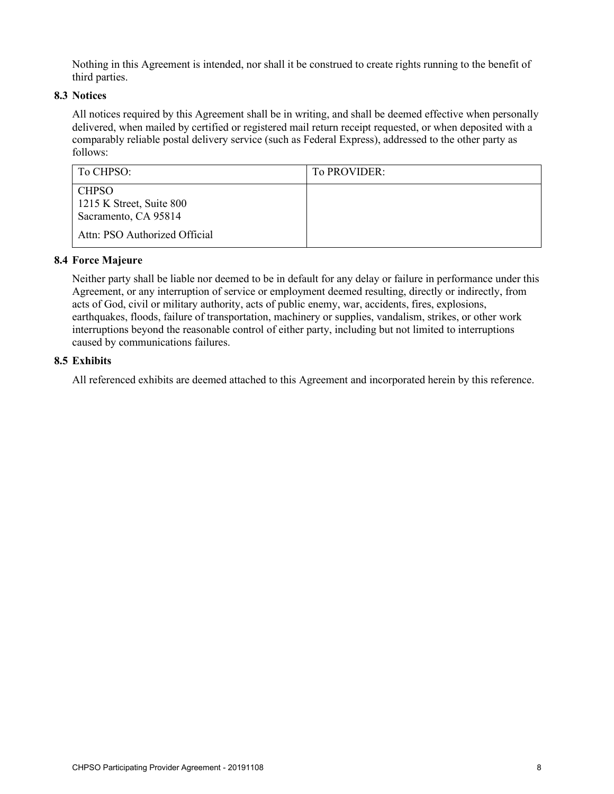Nothing in this Agreement is intended, nor shall it be construed to create rights running to the benefit of third parties.

# **8.3 Notices**

All notices required by this Agreement shall be in writing, and shall be deemed effective when personally delivered, when mailed by certified or registered mail return receipt requested, or when deposited with a comparably reliable postal delivery service (such as Federal Express), addressed to the other party as follows:

| To CHPSO:                                                        | To PROVIDER: |
|------------------------------------------------------------------|--------------|
| <b>CHPSO</b><br>1215 K Street, Suite 800<br>Sacramento, CA 95814 |              |
| Attn: PSO Authorized Official                                    |              |

# **8.4 Force Majeure**

Neither party shall be liable nor deemed to be in default for any delay or failure in performance under this Agreement, or any interruption of service or employment deemed resulting, directly or indirectly, from acts of God, civil or military authority, acts of public enemy, war, accidents, fires, explosions, earthquakes, floods, failure of transportation, machinery or supplies, vandalism, strikes, or other work interruptions beyond the reasonable control of either party, including but not limited to interruptions caused by communications failures.

# **8.5 Exhibits**

All referenced exhibits are deemed attached to this Agreement and incorporated herein by this reference.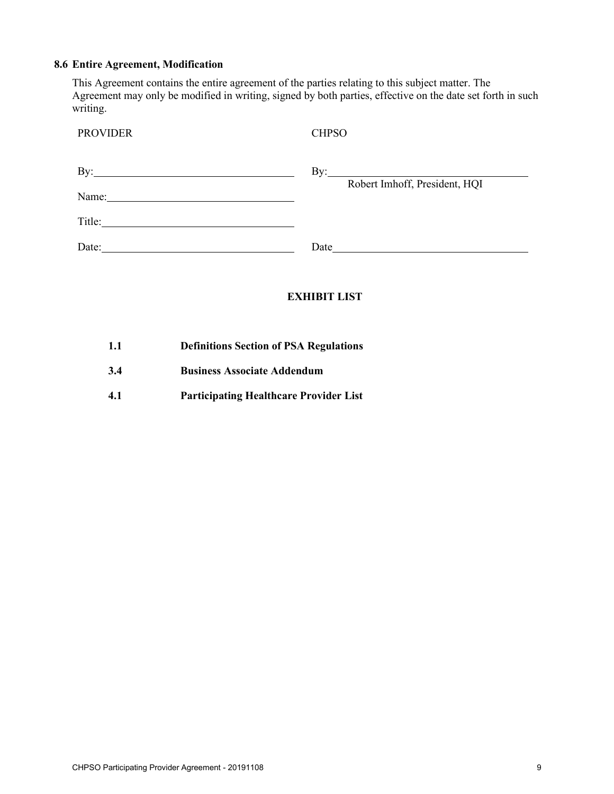#### **8.6 Entire Agreement, Modification**

This Agreement contains the entire agreement of the parties relating to this subject matter. The Agreement may only be modified in writing, signed by both parties, effective on the date set forth in such writing.

| <b>PROVIDER</b>                                                                                                                | <b>CHPSO</b>                                         |
|--------------------------------------------------------------------------------------------------------------------------------|------------------------------------------------------|
| $\mathbf{By:}\_\_\_\_\$                                                                                                        | By: $\qquad \qquad$<br>Robert Imhoff, President, HQI |
|                                                                                                                                |                                                      |
| Title:<br><u> 1989 - Johann Stein, mars an deutscher Stein und der Stein und der Stein und der Stein und der Stein und der</u> |                                                      |
| Date:                                                                                                                          | Date                                                 |

# **EXHIBIT LIST**

- **1.1 Definitions Section of PSA Regulations**
- **3.4 Business Associate Addendum**
- **4.1 Participating Healthcare Provider List**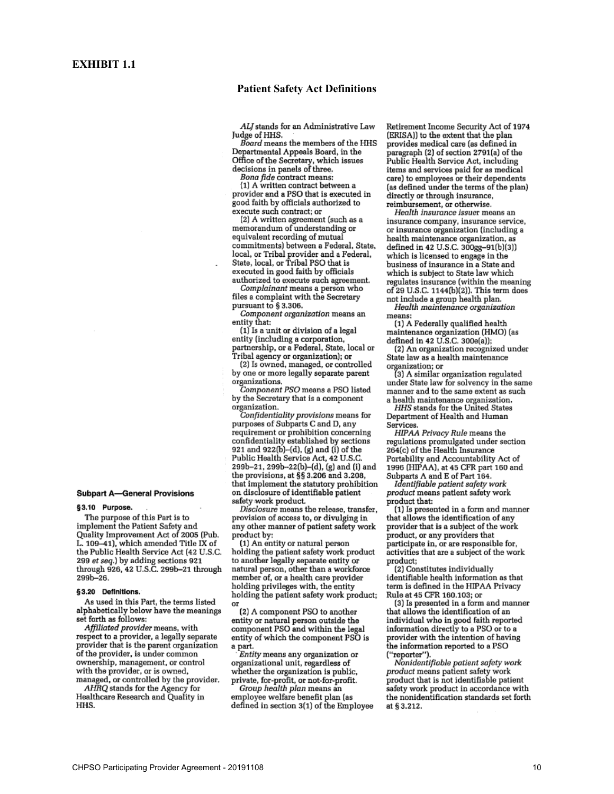#### **Patient Safety Act Definitions**

ALJ stands for an Administrative Law Judge of HHS.

Board means the members of the HHS Departmental Appeals Board, in the Office of the Secretary, which issues decisions in panels of three.

Bona fide contract means:

(1) A written contract between a provider and a PSO that is executed in good faith by officials authorized to execute such contract; or

(2) A written agreement (such as a memorandum of understanding or equivalent recording of mutual commitments) between a Federal, State, local, or Tribal provider and a Federal, State, local, or Tribal PSO that is executed in good faith by officials authorized to execute such agreement.

Complainant means a person who files a complaint with the Secretary pursuant to § 3.306.

Component organization means an entity that:

(1) Is a unit or division of a legal entity (including a corporation, partnership, or a Federal, State, local or

Tribal agency or organization); or (2) Is owned, managed, or controlled by one or more legally separate parent organizations.

Component PSO means a PSO listed by the Secretary that is a component organization.

.<br>Confidentiality provisions means for purposes of Subparts C and D, any requirement or prohibition concerning confidentiality established by sections<br>921 and 922(b)–(d), (g) and (i) of the<br>Public Health Service Act, 42 U.S.C. 299b-21, 299b-22(b)-(d), (g) and (i) and the provisions, at §§ 3.206 and 3.208, that implement the statutory prohibition on disclosure of identifiable patient safety work product.

Disclosure means the release, transfer, provision of access to, or divulging in any other manner of patient safety work product by:<br>(1) An entity or natural person

holding the patient safety work product to another legally separate entity or natural person, other than a workforce member of, or a health care provider holding privileges with, the entity holding the patient safety work product; **OF** 

(2) A component PSO to another entity or natural person outside the component PSO and within the legal entity of which the component PSO is a part.<br>Entity means any organization or

organizational unit, regardless of whether the organization is public, private, for-profit, or not-for-profit.

Group health plan means an employee welfare benefit plan (as defined in section 3(1) of the Employee Retirement Income Security Act of 1974 (ERISA)) to the extent that the plan provides medical care (as defined in paragraph (2) of section 2791(a) of the<br>Public Health Service Act, including items and services paid for as medical care) to employees or their dependents (as defined under the terms of the plan) directly or through insurance, reimbursement, or otherwise.

Health insurance issuer means an insurance company, insurance service, or insurance organization (including a health maintenance organization, as defined in 42 U.S.C. 300gg-91(b)(3)) which is licensed to engage in the business of insurance in a State and which is subject to State law which regulates insurance (within the meaning of 29 U.S.C. 1144(b)(2)). This term does not include a group health plan.

Health maintenance organization means:

(1) A Federally qualified health maintenance organization (HMO) (as defined in 42 U.S.C. 300e(a));

(2) An organization recognized under State law as a health maintenance

organization; or<br>(3) A similar organization regulated under State law for solvency in the same manner and to the same extent as such a health maintenance organization.

HHS stands for the United States Department of Health and Human Services.

HIPAA Privacy Rule means the regulations promulgated under section 264(c) of the Health Insurance Portability and Accountability Act of 1996 (HIPAA), at 45 CFR part 160 and Subparts A and E of Part 164.

Identifiable patient safety work product means patient safety work .<br>product that:

(1) Is presented in a form and manner that allows the identification of any provider that is a subject of the work product, or any providers that participate in, or are responsible for, activities that are a subject of the work product;

(2) Constitutes individually identifiable health information as that term is defined in the HIPAA Privacy Rule at 45 CFR 160.103; or

(3) Is presented in a form and manner that allows the identification of an individual who in good faith reported information directly to a PSO or to a provider with the intention of having the information reported to a PSO ("reporter").

Nonidentifiable patient safety work product means patient safety work product that is not identifiable patient safety work product in accordance with the nonidentification standards set forth at § 3.212.

#### **Subpart A-General Provisions**

§3.10 Purpose.

The purpose of this Part is to implement the Patient Safety and Quality Improvement Act of 2005 (Pub. L. 109-41), which amended Title IX of the Public Health Service Act (42 U.S.C. 299 et seq.) by adding sections 921 through 926, 42 U.S.C. 299b-21 through  $299b - 26.$ 

#### §3.20 Definitions.

As used in this Part, the terms listed alphabetically below have the meanings set forth as follows:

Affiliated provider means, with respect to a provider, a legally separate provider that is the parent organization of the provider, is under common ownership, management, or control with the provider, or is owned, managed, or controlled by the provider.

AHRQ stands for the Agency for Healthcare Research and Quality in HHS.